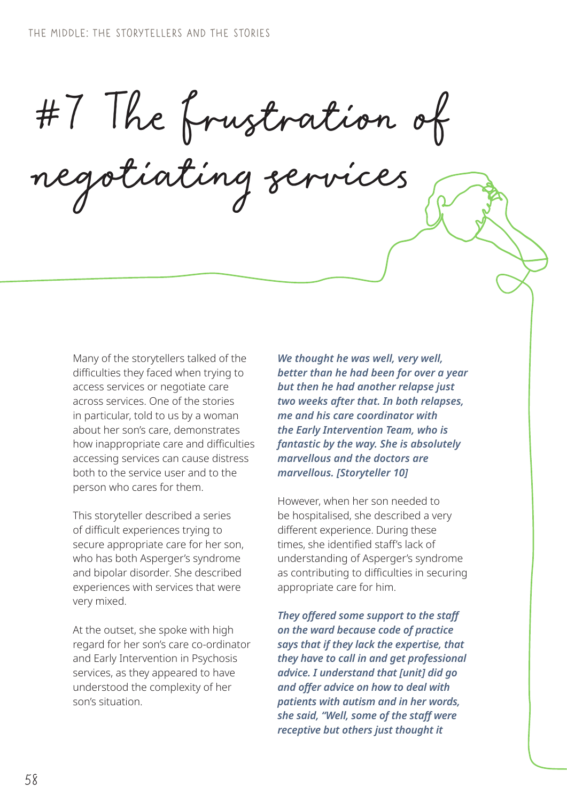#7 The frustration of

negotiating services

Many of the storytellers talked of the difficulties they faced when trying to access services or negotiate care across services. One of the stories in particular, told to us by a woman about her son's care, demonstrates how inappropriate care and difficulties accessing services can cause distress both to the service user and to the person who cares for them.

This storyteller described a series of difficult experiences trying to secure appropriate care for her son, who has both Asperger's syndrome and bipolar disorder. She described experiences with services that were very mixed.

At the outset, she spoke with high regard for her son's care co-ordinator and Early Intervention in Psychosis services, as they appeared to have understood the complexity of her son's situation.

*We thought he was well, very well, better than he had been for over a year but then he had another relapse just two weeks after that. In both relapses, me and his care coordinator with the Early Intervention Team, who is fantastic by the way. She is absolutely marvellous and the doctors are marvellous. [Storyteller 10]*

However, when her son needed to be hospitalised, she described a very different experience. During these times, she identified staff's lack of understanding of Asperger's syndrome as contributing to difficulties in securing appropriate care for him.

*They offered some support to the staff on the ward because code of practice says that if they lack the expertise, that they have to call in and get professional advice. I understand that [unit] did go and offer advice on how to deal with patients with autism and in her words, she said, "Well, some of the staff were receptive but others just thought it*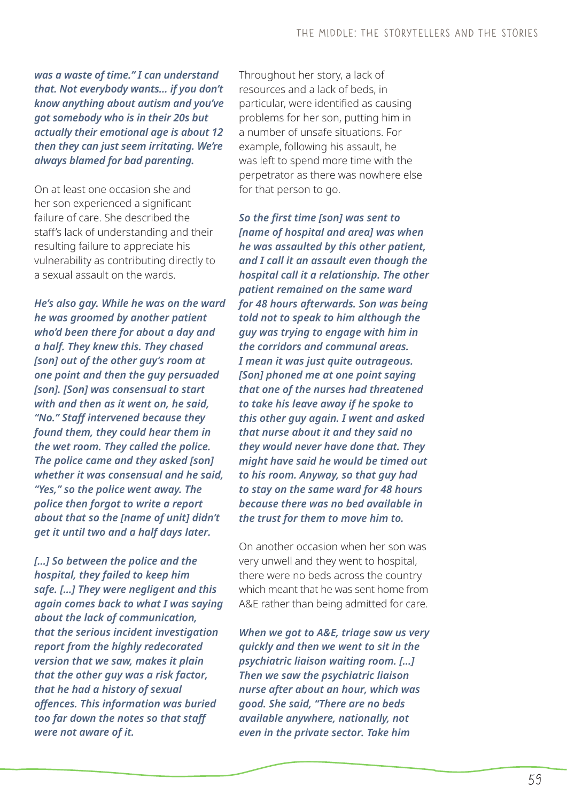*was a waste of time." I can understand that. Not everybody wants… if you don't know anything about autism and you've got somebody who is in their 20s but actually their emotional age is about 12 then they can just seem irritating. We're always blamed for bad parenting.*

On at least one occasion she and her son experienced a significant failure of care. She described the staff's lack of understanding and their resulting failure to appreciate his vulnerability as contributing directly to a sexual assault on the wards.

*He's also gay. While he was on the ward he was groomed by another patient who'd been there for about a day and a half. They knew this. They chased [son] out of the other guy's room at one point and then the guy persuaded [son]. [Son] was consensual to start with and then as it went on, he said, "No." Staff intervened because they found them, they could hear them in the wet room. They called the police. The police came and they asked [son] whether it was consensual and he said, "Yes," so the police went away. The police then forgot to write a report about that so the [name of unit] didn't get it until two and a half days later.* 

*[…] So between the police and the hospital, they failed to keep him safe. […] They were negligent and this again comes back to what I was saying about the lack of communication, that the serious incident investigation report from the highly redecorated version that we saw, makes it plain that the other guy was a risk factor, that he had a history of sexual offences. This information was buried too far down the notes so that staff were not aware of it.* 

Throughout her story, a lack of resources and a lack of beds, in particular, were identified as causing problems for her son, putting him in a number of unsafe situations. For example, following his assault, he was left to spend more time with the perpetrator as there was nowhere else for that person to go.

*So the first time [son] was sent to [name of hospital and area] was when he was assaulted by this other patient, and I call it an assault even though the hospital call it a relationship. The other patient remained on the same ward for 48 hours afterwards. Son was being told not to speak to him although the guy was trying to engage with him in the corridors and communal areas. I mean it was just quite outrageous. [Son] phoned me at one point saying that one of the nurses had threatened to take his leave away if he spoke to this other guy again. I went and asked that nurse about it and they said no they would never have done that. They might have said he would be timed out to his room. Anyway, so that guy had to stay on the same ward for 48 hours because there was no bed available in the trust for them to move him to.*

On another occasion when her son was very unwell and they went to hospital, there were no beds across the country which meant that he was sent home from A&E rather than being admitted for care.

*When we got to A&E, triage saw us very quickly and then we went to sit in the psychiatric liaison waiting room. […] Then we saw the psychiatric liaison nurse after about an hour, which was good. She said, "There are no beds available anywhere, nationally, not even in the private sector. Take him*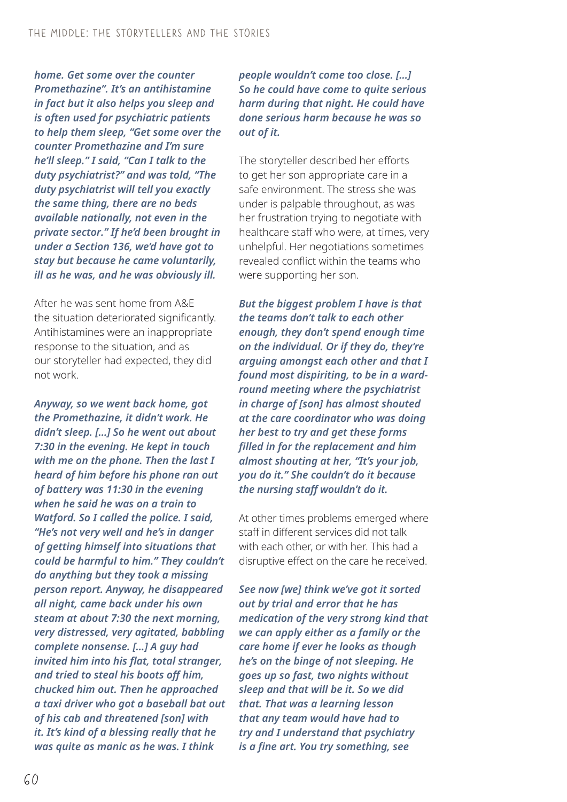*home. Get some over the counter Promethazine". It's an antihistamine in fact but it also helps you sleep and is often used for psychiatric patients to help them sleep, "Get some over the counter Promethazine and I'm sure he'll sleep." I said, "Can I talk to the duty psychiatrist?" and was told, "The duty psychiatrist will tell you exactly the same thing, there are no beds available nationally, not even in the private sector." If he'd been brought in under a Section 136, we'd have got to stay but because he came voluntarily, ill as he was, and he was obviously ill.*

After he was sent home from A&E the situation deteriorated significantly. Antihistamines were an inappropriate response to the situation, and as our storyteller had expected, they did not work.

*Anyway, so we went back home, got the Promethazine, it didn't work. He didn't sleep. […] So he went out about 7:30 in the evening. He kept in touch with me on the phone. Then the last I heard of him before his phone ran out of battery was 11:30 in the evening when he said he was on a train to Watford. So I called the police. I said, "He's not very well and he's in danger of getting himself into situations that could be harmful to him." They couldn't do anything but they took a missing person report. Anyway, he disappeared all night, came back under his own steam at about 7:30 the next morning, very distressed, very agitated, babbling complete nonsense. […] A guy had invited him into his flat, total stranger, and tried to steal his boots off him, chucked him out. Then he approached a taxi driver who got a baseball bat out of his cab and threatened [son] with it. It's kind of a blessing really that he was quite as manic as he was. I think* 

*people wouldn't come too close. […] So he could have come to quite serious harm during that night. He could have done serious harm because he was so out of it.*

The storyteller described her efforts to get her son appropriate care in a safe environment. The stress she was under is palpable throughout, as was her frustration trying to negotiate with healthcare staff who were, at times, very unhelpful. Her negotiations sometimes revealed conflict within the teams who were supporting her son.

*But the biggest problem I have is that the teams don't talk to each other enough, they don't spend enough time on the individual. Or if they do, they're arguing amongst each other and that I found most dispiriting, to be in a wardround meeting where the psychiatrist in charge of [son] has almost shouted at the care coordinator who was doing her best to try and get these forms filled in for the replacement and him almost shouting at her, "It's your job, you do it." She couldn't do it because the nursing staff wouldn't do it.* 

At other times problems emerged where staff in different services did not talk with each other, or with her. This had a disruptive effect on the care he received.

*See now [we] think we've got it sorted out by trial and error that he has medication of the very strong kind that we can apply either as a family or the care home if ever he looks as though he's on the binge of not sleeping. He goes up so fast, two nights without sleep and that will be it. So we did that. That was a learning lesson that any team would have had to try and I understand that psychiatry is a fine art. You try something, see*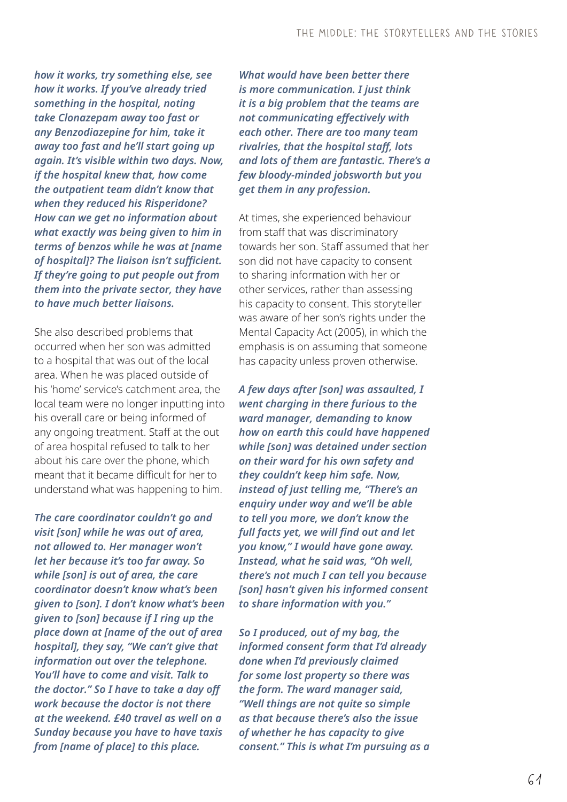*how it works, try something else, see how it works. If you've already tried something in the hospital, noting take Clonazepam away too fast or any Benzodiazepine for him, take it away too fast and he'll start going up again. It's visible within two days. Now, if the hospital knew that, how come the outpatient team didn't know that when they reduced his Risperidone? How can we get no information about what exactly was being given to him in terms of benzos while he was at [name of hospital]? The liaison isn't sufficient. If they're going to put people out from them into the private sector, they have to have much better liaisons.* 

She also described problems that occurred when her son was admitted to a hospital that was out of the local area. When he was placed outside of his 'home' service's catchment area, the local team were no longer inputting into his overall care or being informed of any ongoing treatment. Staff at the out of area hospital refused to talk to her about his care over the phone, which meant that it became difficult for her to understand what was happening to him.

*The care coordinator couldn't go and visit [son] while he was out of area, not allowed to. Her manager won't let her because it's too far away. So while [son] is out of area, the care coordinator doesn't know what's been given to [son]. I don't know what's been given to [son] because if I ring up the place down at [name of the out of area hospital], they say, "We can't give that information out over the telephone. You'll have to come and visit. Talk to the doctor." So I have to take a day off work because the doctor is not there at the weekend. £40 travel as well on a Sunday because you have to have taxis from [name of place] to this place.* 

*What would have been better there is more communication. I just think it is a big problem that the teams are not communicating effectively with each other. There are too many team rivalries, that the hospital staff, lots and lots of them are fantastic. There's a few bloody-minded jobsworth but you get them in any profession.* 

At times, she experienced behaviour from staff that was discriminatory towards her son. Staff assumed that her son did not have capacity to consent to sharing information with her or other services, rather than assessing his capacity to consent. This storyteller was aware of her son's rights under the Mental Capacity Act (2005), in which the emphasis is on assuming that someone has capacity unless proven otherwise.

*A few days after [son] was assaulted, I went charging in there furious to the ward manager, demanding to know how on earth this could have happened while [son] was detained under section on their ward for his own safety and they couldn't keep him safe. Now, instead of just telling me, "There's an enquiry under way and we'll be able to tell you more, we don't know the full facts yet, we will find out and let you know," I would have gone away. Instead, what he said was, "Oh well, there's not much I can tell you because [son] hasn't given his informed consent to share information with you."* 

*So I produced, out of my bag, the informed consent form that I'd already done when I'd previously claimed for some lost property so there was the form. The ward manager said, "Well things are not quite so simple as that because there's also the issue of whether he has capacity to give consent." This is what I'm pursuing as a*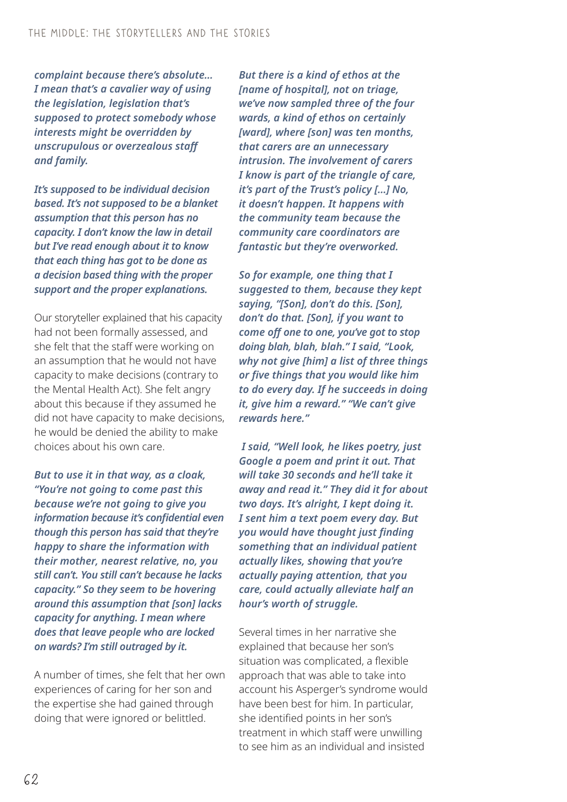*complaint because there's absolute… I mean that's a cavalier way of using the legislation, legislation that's supposed to protect somebody whose interests might be overridden by unscrupulous or overzealous staff and family.* 

*It's supposed to be individual decision based. It's not supposed to be a blanket assumption that this person has no capacity. I don't know the law in detail but I've read enough about it to know that each thing has got to be done as a decision based thing with the proper support and the proper explanations.* 

Our storyteller explained that his capacity had not been formally assessed, and she felt that the staff were working on an assumption that he would not have capacity to make decisions (contrary to the Mental Health Act). She felt angry about this because if they assumed he did not have capacity to make decisions, he would be denied the ability to make choices about his own care.

*But to use it in that way, as a cloak, "You're not going to come past this because we're not going to give you information because it's confidential even though this person has said that they're happy to share the information with their mother, nearest relative, no, you still can't. You still can't because he lacks capacity." So they seem to be hovering around this assumption that [son] lacks capacity for anything. I mean where does that leave people who are locked on wards? I'm still outraged by it.*

A number of times, she felt that her own experiences of caring for her son and the expertise she had gained through doing that were ignored or belittled.

*But there is a kind of ethos at the [name of hospital], not on triage, we've now sampled three of the four wards, a kind of ethos on certainly [ward], where [son] was ten months, that carers are an unnecessary intrusion. The involvement of carers I know is part of the triangle of care, it's part of the Trust's policy […] No, it doesn't happen. It happens with the community team because the community care coordinators are fantastic but they're overworked.*

*So for example, one thing that I suggested to them, because they kept saying, "[Son], don't do this. [Son], don't do that. [Son], if you want to come off one to one, you've got to stop doing blah, blah, blah." I said, "Look, why not give [him] a list of three things or five things that you would like him to do every day. If he succeeds in doing it, give him a reward." "We can't give rewards here."*

 *I said, "Well look, he likes poetry, just Google a poem and print it out. That will take 30 seconds and he'll take it away and read it." They did it for about two days. It's alright, I kept doing it. I sent him a text poem every day. But you would have thought just finding something that an individual patient actually likes, showing that you're actually paying attention, that you care, could actually alleviate half an hour's worth of struggle.*

Several times in her narrative she explained that because her son's situation was complicated, a flexible approach that was able to take into account his Asperger's syndrome would have been best for him. In particular, she identified points in her son's treatment in which staff were unwilling to see him as an individual and insisted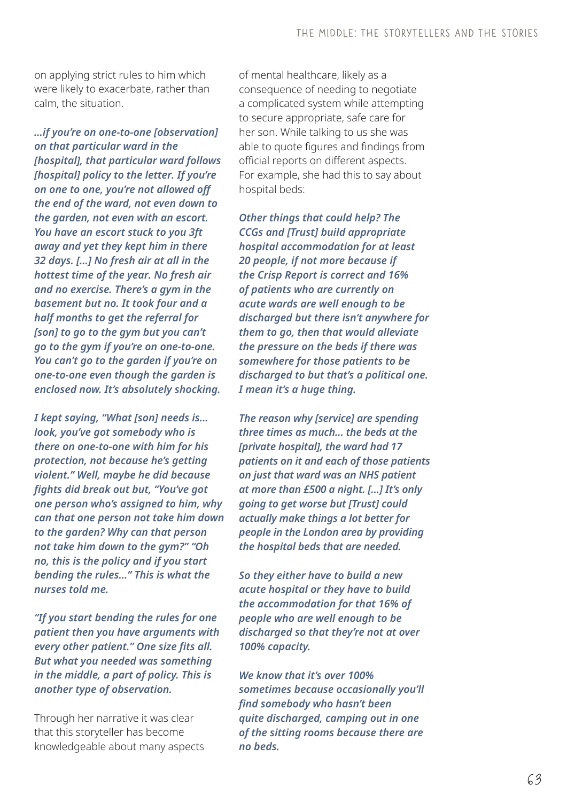on applying strict rules to him which were likely to exacerbate, rather than calm, the situation.

*…if you're on one-to-one [observation] on that particular ward in the [hospital], that particular ward follows [hospital] policy to the letter. If you're on one to one, you're not allowed off the end of the ward, not even down to the garden, not even with an escort. You have an escort stuck to you 3ft away and yet they kept him in there 32 days. […] No fresh air at all in the hottest time of the year. No fresh air and no exercise. There's a gym in the basement but no. It took four and a half months to get the referral for [son] to go to the gym but you can't go to the gym if you're on one-to-one. You can't go to the garden if you're on one-to-one even though the garden is enclosed now. It's absolutely shocking.* 

*I kept saying, "What [son] needs is… look, you've got somebody who is there on one-to-one with him for his protection, not because he's getting violent." Well, maybe he did because fights did break out but, "You've got one person who's assigned to him, why can that one person not take him down to the garden? Why can that person not take him down to the gym?" "Oh no, this is the policy and if you start bending the rules…" This is what the nurses told me.* 

*"If you start bending the rules for one patient then you have arguments with every other patient." One size fits all. But what you needed was something in the middle, a part of policy. This is another type of observation.*

Through her narrative it was clear that this storyteller has become knowledgeable about many aspects of mental healthcare, likely as a consequence of needing to negotiate a complicated system while attempting to secure appropriate, safe care for her son. While talking to us she was able to quote figures and findings from official reports on different aspects. For example, she had this to say about hospital beds:

*Other things that could help? The CCGs and [Trust] build appropriate hospital accommodation for at least 20 people, if not more because if the Crisp Report is correct and 16% of patients who are currently on acute wards are well enough to be discharged but there isn't anywhere for them to go, then that would alleviate the pressure on the beds if there was somewhere for those patients to be discharged to but that's a political one. I mean it's a huge thing.* 

*The reason why [service] are spending three times as much… the beds at the [private hospital], the ward had 17 patients on it and each of those patients on just that ward was an NHS patient at more than £500 a night. […] It's only going to get worse but [Trust] could actually make things a lot better for people in the London area by providing the hospital beds that are needed.* 

*So they either have to build a new acute hospital or they have to build the accommodation for that 16% of people who are well enough to be discharged so that they're not at over 100% capacity.* 

*We know that it's over 100% sometimes because occasionally you'll find somebody who hasn't been quite discharged, camping out in one of the sitting rooms because there are no beds.*